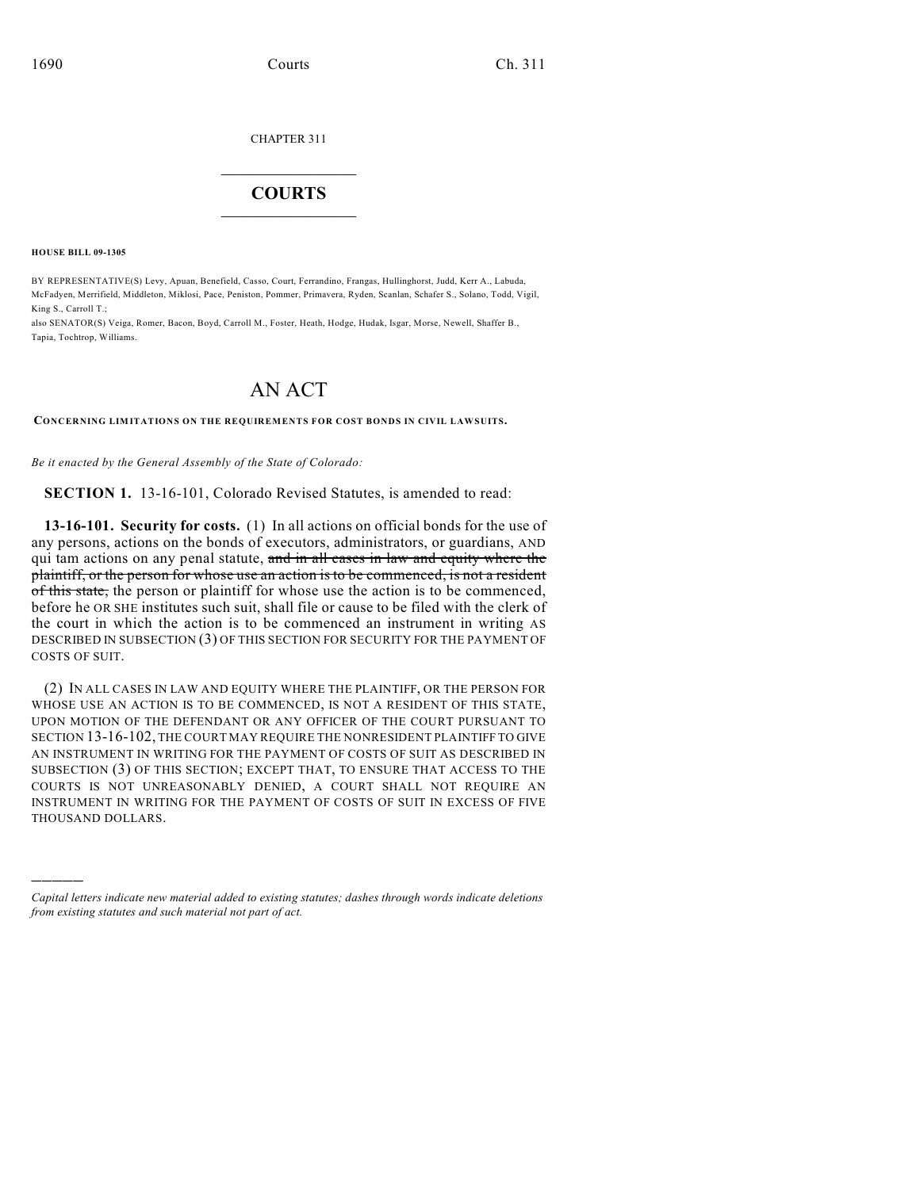CHAPTER 311

## $\overline{\phantom{a}}$  . The set of the set of the set of the set of the set of the set of the set of the set of the set of the set of the set of the set of the set of the set of the set of the set of the set of the set of the set o **COURTS**  $\_$

**HOUSE BILL 09-1305**

)))))

BY REPRESENTATIVE(S) Levy, Apuan, Benefield, Casso, Court, Ferrandino, Frangas, Hullinghorst, Judd, Kerr A., Labuda, McFadyen, Merrifield, Middleton, Miklosi, Pace, Peniston, Pommer, Primavera, Ryden, Scanlan, Schafer S., Solano, Todd, Vigil, King S., Carroll T.;

also SENATOR(S) Veiga, Romer, Bacon, Boyd, Carroll M., Foster, Heath, Hodge, Hudak, Isgar, Morse, Newell, Shaffer B., Tapia, Tochtrop, Williams.

## AN ACT

**CONCERNING LIMITATIONS ON THE REQUIREMENTS FOR COST BONDS IN CIVIL LAWSUITS.**

*Be it enacted by the General Assembly of the State of Colorado:*

**SECTION 1.** 13-16-101, Colorado Revised Statutes, is amended to read:

**13-16-101. Security for costs.** (1) In all actions on official bonds for the use of any persons, actions on the bonds of executors, administrators, or guardians, AND qui tam actions on any penal statute, and in all cases in law and equity where the plaintiff, or the person for whose use an action is to be commenced, is not a resident of this state, the person or plaintiff for whose use the action is to be commenced, before he OR SHE institutes such suit, shall file or cause to be filed with the clerk of the court in which the action is to be commenced an instrument in writing AS DESCRIBED IN SUBSECTION (3) OF THIS SECTION FOR SECURITY FOR THE PAYMENT OF COSTS OF SUIT.

(2) IN ALL CASES IN LAW AND EQUITY WHERE THE PLAINTIFF, OR THE PERSON FOR WHOSE USE AN ACTION IS TO BE COMMENCED, IS NOT A RESIDENT OF THIS STATE, UPON MOTION OF THE DEFENDANT OR ANY OFFICER OF THE COURT PURSUANT TO SECTION 13-16-102, THE COURT MAY REQUIRE THE NONRESIDENT PLAINTIFF TO GIVE AN INSTRUMENT IN WRITING FOR THE PAYMENT OF COSTS OF SUIT AS DESCRIBED IN SUBSECTION (3) OF THIS SECTION; EXCEPT THAT, TO ENSURE THAT ACCESS TO THE COURTS IS NOT UNREASONABLY DENIED, A COURT SHALL NOT REQUIRE AN INSTRUMENT IN WRITING FOR THE PAYMENT OF COSTS OF SUIT IN EXCESS OF FIVE THOUSAND DOLLARS.

*Capital letters indicate new material added to existing statutes; dashes through words indicate deletions from existing statutes and such material not part of act.*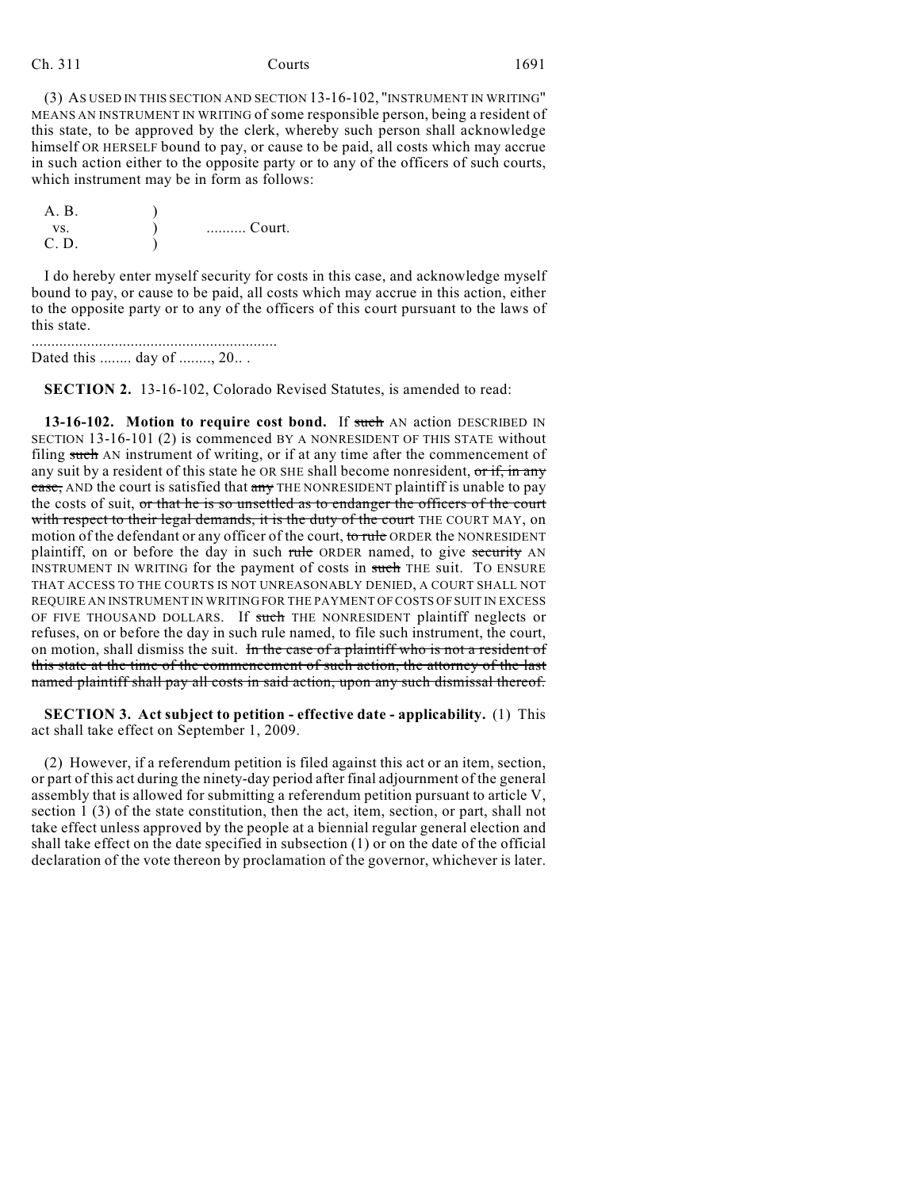Ch. 311 Courts 1691

(3) AS USED IN THIS SECTION AND SECTION 13-16-102, "INSTRUMENT IN WRITING" MEANS AN INSTRUMENT IN WRITING of some responsible person, being a resident of this state, to be approved by the clerk, whereby such person shall acknowledge himself OR HERSELF bound to pay, or cause to be paid, all costs which may accrue in such action either to the opposite party or to any of the officers of such courts, which instrument may be in form as follows:

| A. B. |        |
|-------|--------|
| VS.   | Court. |
| C. D. |        |

I do hereby enter myself security for costs in this case, and acknowledge myself bound to pay, or cause to be paid, all costs which may accrue in this action, either to the opposite party or to any of the officers of this court pursuant to the laws of this state.

.............................................................. Dated this ........ day of ........, 20.. .

**SECTION 2.** 13-16-102, Colorado Revised Statutes, is amended to read:

**13-16-102.** Motion to require cost bond. If such AN action DESCRIBED IN SECTION 13-16-101 (2) is commenced BY A NONRESIDENT OF THIS STATE without filing such AN instrument of writing, or if at any time after the commencement of any suit by a resident of this state he OR SHE shall become nonresident, or if, in any case, AND the court is satisfied that any THE NONRESIDENT plaintiff is unable to pay the costs of suit, or that he is so unsettled as to endanger the officers of the court with respect to their legal demands, it is the duty of the court THE COURT MAY, on motion of the defendant or any officer of the court, to rule ORDER the NONRESIDENT plaintiff, on or before the day in such rule ORDER named, to give security AN INSTRUMENT IN WRITING for the payment of costs in such THE suit. TO ENSURE THAT ACCESS TO THE COURTS IS NOT UNREASONABLY DENIED, A COURT SHALL NOT REQUIRE AN INSTRUMENT IN WRITING FOR THE PAYMENT OF COSTS OF SUIT IN EXCESS OF FIVE THOUSAND DOLLARS. If such THE NONRESIDENT plaintiff neglects or refuses, on or before the day in such rule named, to file such instrument, the court, on motion, shall dismiss the suit. In the case of a plaintiff who is not a resident of this state at the time of the commencement of such action, the attorney of the last named plaintiff shall pay all costs in said action, upon any such dismissal thereof.

**SECTION 3. Act subject to petition - effective date - applicability.** (1) This act shall take effect on September 1, 2009.

(2) However, if a referendum petition is filed against this act or an item, section, or part of this act during the ninety-day period after final adjournment of the general assembly that is allowed for submitting a referendum petition pursuant to article V, section 1 (3) of the state constitution, then the act, item, section, or part, shall not take effect unless approved by the people at a biennial regular general election and shall take effect on the date specified in subsection (1) or on the date of the official declaration of the vote thereon by proclamation of the governor, whichever is later.